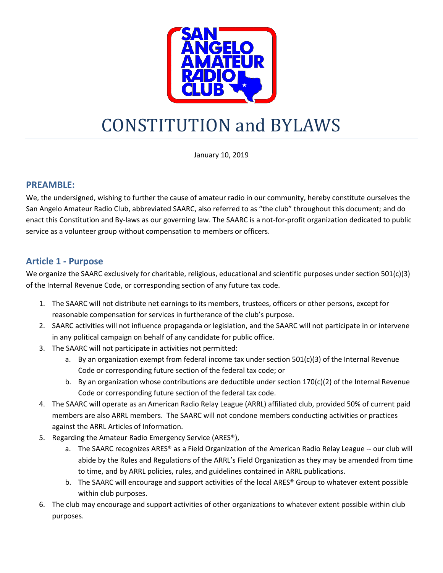

# CONSTITUTION and BYLAWS

January 10, 2019

#### **PREAMBLE:**

We, the undersigned, wishing to further the cause of amateur radio in our community, hereby constitute ourselves the San Angelo Amateur Radio Club, abbreviated SAARC, also referred to as "the club" throughout this document; and do enact this Constitution and By-laws as our governing law. The SAARC is a not-for-profit organization dedicated to public service as a volunteer group without compensation to members or officers.

#### **Article 1 - Purpose**

We organize the SAARC exclusively for charitable, religious, educational and scientific purposes under section 501(c)(3) of the Internal Revenue Code, or corresponding section of any future tax code.

- 1. The SAARC will not distribute net earnings to its members, trustees, officers or other persons, except for reasonable compensation for services in furtherance of the club's purpose.
- 2. SAARC activities will not influence propaganda or legislation, and the SAARC will not participate in or intervene in any political campaign on behalf of any candidate for public office.
- 3. The SAARC will not participate in activities not permitted:
	- a. By an organization exempt from federal income tax under section  $501(c)(3)$  of the Internal Revenue Code or corresponding future section of the federal tax code; or
	- b. By an organization whose contributions are deductible under section 170(c)(2) of the Internal Revenue Code or corresponding future section of the federal tax code.
- 4. The SAARC will operate as an American Radio Relay League (ARRL) affiliated club, provided 50% of current paid members are also ARRL members. The SAARC will not condone members conducting activities or practices against the ARRL Articles of Information.
- 5. Regarding the Amateur Radio Emergency Service (ARES®),
	- a. The SAARC recognizes ARES® as a Field Organization of the American Radio Relay League -- our club will abide by the Rules and Regulations of the ARRL's Field Organization as they may be amended from time to time, and by ARRL policies, rules, and guidelines contained in ARRL publications.
	- b. The SAARC will encourage and support activities of the local ARES® Group to whatever extent possible within club purposes.
- 6. The club may encourage and support activities of other organizations to whatever extent possible within club purposes.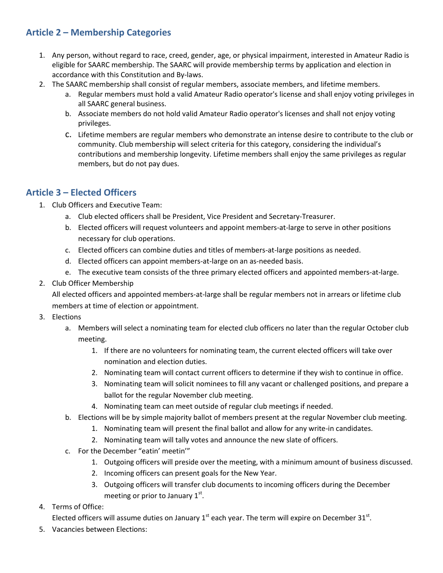# **Article 2 – Membership Categories**

- 1. Any person, without regard to race, creed, gender, age, or physical impairment, interested in Amateur Radio is eligible for SAARC membership. The SAARC will provide membership terms by application and election in accordance with this Constitution and By-laws.
- 2. The SAARC membership shall consist of regular members, associate members, and lifetime members.
	- a. Regular members must hold a valid Amateur Radio operator's license and shall enjoy voting privileges in all SAARC general business.
	- b. Associate members do not hold valid Amateur Radio operator's licenses and shall not enjoy voting privileges.
	- c. Lifetime members are regular members who demonstrate an intense desire to contribute to the club or community. Club membership will select criteria for this category, considering the individual's contributions and membership longevity. Lifetime members shall enjoy the same privileges as regular members, but do not pay dues.

## **Article 3 – Elected Officers**

- 1. Club Officers and Executive Team:
	- a. Club elected officers shall be President, Vice President and Secretary-Treasurer.
	- b. Elected officers will request volunteers and appoint members-at-large to serve in other positions necessary for club operations.
	- c. Elected officers can combine duties and titles of members-at-large positions as needed.
	- d. Elected officers can appoint members-at-large on an as-needed basis.
	- e. The executive team consists of the three primary elected officers and appointed members-at-large.
- 2. Club Officer Membership

All elected officers and appointed members-at-large shall be regular members not in arrears or lifetime club members at time of election or appointment.

- 3. Elections
	- a. Members will select a nominating team for elected club officers no later than the regular October club meeting.
		- 1. If there are no volunteers for nominating team, the current elected officers will take over nomination and election duties.
		- 2. Nominating team will contact current officers to determine if they wish to continue in office.
		- 3. Nominating team will solicit nominees to fill any vacant or challenged positions, and prepare a ballot for the regular November club meeting.
		- 4. Nominating team can meet outside of regular club meetings if needed.
	- b. Elections will be by simple majority ballot of members present at the regular November club meeting.
		- 1. Nominating team will present the final ballot and allow for any write-in candidates.
		- 2. Nominating team will tally votes and announce the new slate of officers.
	- c. For the December "eatin' meetin'"
		- 1. Outgoing officers will preside over the meeting, with a minimum amount of business discussed.
		- 2. Incoming officers can present goals for the New Year.
		- 3. Outgoing officers will transfer club documents to incoming officers during the December meeting or prior to January  $1<sup>st</sup>$ .
- 4. Terms of Office:

Elected officers will assume duties on January  $1<sup>st</sup>$  each year. The term will expire on December 31 $<sup>st</sup>$ .</sup>

5. Vacancies between Elections: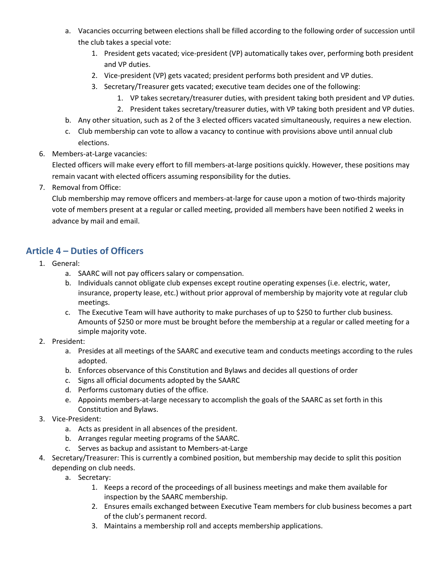- a. Vacancies occurring between elections shall be filled according to the following order of succession until the club takes a special vote:
	- 1. President gets vacated; vice-president (VP) automatically takes over, performing both president and VP duties.
	- 2. Vice-president (VP) gets vacated; president performs both president and VP duties.
	- 3. Secretary/Treasurer gets vacated; executive team decides one of the following:
		- 1. VP takes secretary/treasurer duties, with president taking both president and VP duties.
		- 2. President takes secretary/treasurer duties, with VP taking both president and VP duties.
- b. Any other situation, such as 2 of the 3 elected officers vacated simultaneously, requires a new election.
- c. Club membership can vote to allow a vacancy to continue with provisions above until annual club elections.
- 6. Members-at-Large vacancies:

Elected officers will make every effort to fill members-at-large positions quickly. However, these positions may remain vacant with elected officers assuming responsibility for the duties.

7. Removal from Office:

Club membership may remove officers and members-at-large for cause upon a motion of two-thirds majority vote of members present at a regular or called meeting, provided all members have been notified 2 weeks in advance by mail and email.

# **Article 4 – Duties of Officers**

- 1. General:
	- a. SAARC will not pay officers salary or compensation.
	- b. Individuals cannot obligate club expenses except routine operating expenses (i.e. electric, water, insurance, property lease, etc.) without prior approval of membership by majority vote at regular club meetings.
	- c. The Executive Team will have authority to make purchases of up to \$250 to further club business. Amounts of \$250 or more must be brought before the membership at a regular or called meeting for a simple majority vote.
- 2. President:
	- a. Presides at all meetings of the SAARC and executive team and conducts meetings according to the rules adopted.
	- b. Enforces observance of this Constitution and Bylaws and decides all questions of order
	- c. Signs all official documents adopted by the SAARC
	- d. Performs customary duties of the office.
	- e. Appoints members-at-large necessary to accomplish the goals of the SAARC as set forth in this Constitution and Bylaws.
- 3. Vice-President:
	- a. Acts as president in all absences of the president.
	- b. Arranges regular meeting programs of the SAARC.
	- c. Serves as backup and assistant to Members-at-Large
- 4. Secretary/Treasurer: This is currently a combined position, but membership may decide to split this position depending on club needs.
	- a. Secretary:
		- 1. Keeps a record of the proceedings of all business meetings and make them available for inspection by the SAARC membership.
		- 2. Ensures emails exchanged between Executive Team members for club business becomes a part of the club's permanent record.
		- 3. Maintains a membership roll and accepts membership applications.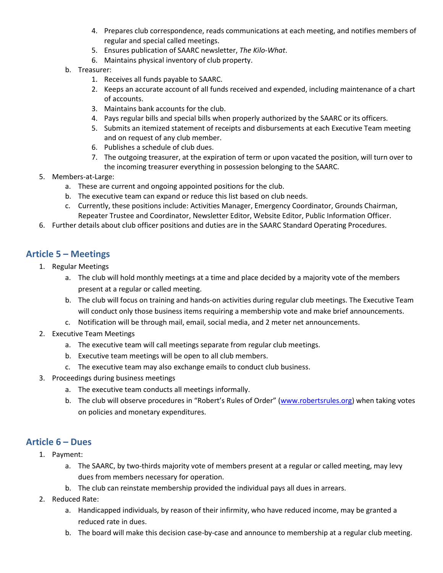- 4. Prepares club correspondence, reads communications at each meeting, and notifies members of regular and special called meetings.
- 5. Ensures publication of SAARC newsletter, *The Kilo-What*.
- 6. Maintains physical inventory of club property.
- b. Treasurer:
	- 1. Receives all funds payable to SAARC.
	- 2. Keeps an accurate account of all funds received and expended, including maintenance of a chart of accounts.
	- 3. Maintains bank accounts for the club.
	- 4. Pays regular bills and special bills when properly authorized by the SAARC or its officers.
	- 5. Submits an itemized statement of receipts and disbursements at each Executive Team meeting and on request of any club member.
	- 6. Publishes a schedule of club dues.
	- 7. The outgoing treasurer, at the expiration of term or upon vacated the position, will turn over to the incoming treasurer everything in possession belonging to the SAARC.
- 5. Members-at-Large:
	- a. These are current and ongoing appointed positions for the club.
	- b. The executive team can expand or reduce this list based on club needs.
	- c. Currently, these positions include: Activities Manager, Emergency Coordinator, Grounds Chairman, Repeater Trustee and Coordinator, Newsletter Editor, Website Editor, Public Information Officer.
- 6. Further details about club officer positions and duties are in the SAARC Standard Operating Procedures.

## **Article 5 – Meetings**

- 1. Regular Meetings
	- a. The club will hold monthly meetings at a time and place decided by a majority vote of the members present at a regular or called meeting.
	- b. The club will focus on training and hands-on activities during regular club meetings. The Executive Team will conduct only those business items requiring a membership vote and make brief announcements.
	- c. Notification will be through mail, email, social media, and 2 meter net announcements.
- 2. Executive Team Meetings
	- a. The executive team will call meetings separate from regular club meetings.
	- b. Executive team meetings will be open to all club members.
	- c. The executive team may also exchange emails to conduct club business.
- 3. Proceedings during business meetings
	- a. The executive team conducts all meetings informally.
	- b. The club will observe procedures in "Robert's Rules of Order" ([www.robertsrules.org\)](http://www.robertsrules.org/) when taking votes on policies and monetary expenditures.

# **Article 6 – Dues**

- 1. Payment:
	- a. The SAARC, by two-thirds majority vote of members present at a regular or called meeting, may levy dues from members necessary for operation.
	- b. The club can reinstate membership provided the individual pays all dues in arrears.
- 2. Reduced Rate:
	- a. Handicapped individuals, by reason of their infirmity, who have reduced income, may be granted a reduced rate in dues.
	- b. The board will make this decision case-by-case and announce to membership at a regular club meeting.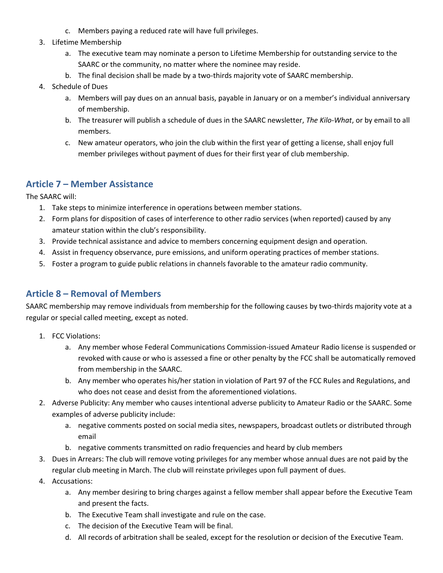- c. Members paying a reduced rate will have full privileges.
- 3. Lifetime Membership
	- a. The executive team may nominate a person to Lifetime Membership for outstanding service to the SAARC or the community, no matter where the nominee may reside.
	- b. The final decision shall be made by a two-thirds majority vote of SAARC membership.
- 4. Schedule of Dues
	- a. Members will pay dues on an annual basis, payable in January or on a member's individual anniversary of membership.
	- b. The treasurer will publish a schedule of dues in the SAARC newsletter, *The Kilo-What*, or by email to all members.
	- c. New amateur operators, who join the club within the first year of getting a license, shall enjoy full member privileges without payment of dues for their first year of club membership.

#### **Article 7 – Member Assistance**

The SAARC will:

- 1. Take steps to minimize interference in operations between member stations.
- 2. Form plans for disposition of cases of interference to other radio services (when reported) caused by any amateur station within the club's responsibility.
- 3. Provide technical assistance and advice to members concerning equipment design and operation.
- 4. Assist in frequency observance, pure emissions, and uniform operating practices of member stations.
- 5. Foster a program to guide public relations in channels favorable to the amateur radio community.

## **Article 8 – Removal of Members**

SAARC membership may remove individuals from membership for the following causes by two-thirds majority vote at a regular or special called meeting, except as noted.

- 1. FCC Violations:
	- a. Any member whose Federal Communications Commission-issued Amateur Radio license is suspended or revoked with cause or who is assessed a fine or other penalty by the FCC shall be automatically removed from membership in the SAARC.
	- b. Any member who operates his/her station in violation of Part 97 of the FCC Rules and Regulations, and who does not cease and desist from the aforementioned violations.
- 2. Adverse Publicity: Any member who causes intentional adverse publicity to Amateur Radio or the SAARC. Some examples of adverse publicity include:
	- a. negative comments posted on social media sites, newspapers, broadcast outlets or distributed through email
	- b. negative comments transmitted on radio frequencies and heard by club members
- 3. Dues in Arrears: The club will remove voting privileges for any member whose annual dues are not paid by the regular club meeting in March. The club will reinstate privileges upon full payment of dues.
- 4. Accusations:
	- a. Any member desiring to bring charges against a fellow member shall appear before the Executive Team and present the facts.
	- b. The Executive Team shall investigate and rule on the case.
	- c. The decision of the Executive Team will be final.
	- d. All records of arbitration shall be sealed, except for the resolution or decision of the Executive Team.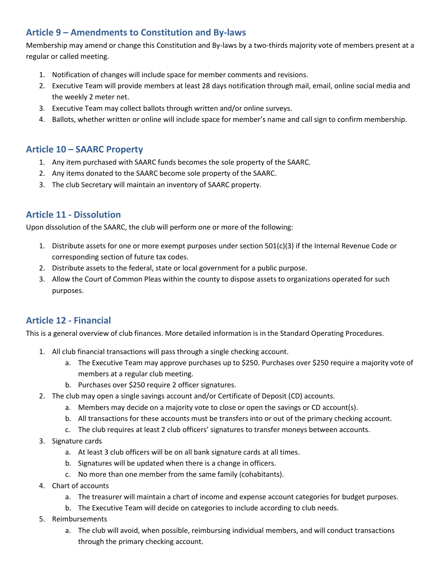# **Article 9 – Amendments to Constitution and By-laws**

Membership may amend or change this Constitution and By-laws by a two-thirds majority vote of members present at a regular or called meeting.

- 1. Notification of changes will include space for member comments and revisions.
- 2. Executive Team will provide members at least 28 days notification through mail, email, online social media and the weekly 2 meter net.
- 3. Executive Team may collect ballots through written and/or online surveys.
- 4. Ballots, whether written or online will include space for member's name and call sign to confirm membership.

#### **Article 10 – SAARC Property**

- 1. Any item purchased with SAARC funds becomes the sole property of the SAARC.
- 2. Any items donated to the SAARC become sole property of the SAARC.
- 3. The club Secretary will maintain an inventory of SAARC property.

## **Article 11 - Dissolution**

Upon dissolution of the SAARC, the club will perform one or more of the following:

- 1. Distribute assets for one or more exempt purposes under section 501(c)(3) if the Internal Revenue Code or corresponding section of future tax codes.
- 2. Distribute assets to the federal, state or local government for a public purpose.
- 3. Allow the Court of Common Pleas within the county to dispose assets to organizations operated for such purposes.

## **Article 12 - Financial**

This is a general overview of club finances. More detailed information is in the Standard Operating Procedures.

- 1. All club financial transactions will pass through a single checking account.
	- a. The Executive Team may approve purchases up to \$250. Purchases over \$250 require a majority vote of members at a regular club meeting.
	- b. Purchases over \$250 require 2 officer signatures.
- 2. The club may open a single savings account and/or Certificate of Deposit (CD) accounts.
	- a. Members may decide on a majority vote to close or open the savings or CD account(s).
	- b. All transactions for these accounts must be transfers into or out of the primary checking account.
	- c. The club requires at least 2 club officers' signatures to transfer moneys between accounts.
- 3. Signature cards
	- a. At least 3 club officers will be on all bank signature cards at all times.
	- b. Signatures will be updated when there is a change in officers.
	- c. No more than one member from the same family (cohabitants).
- 4. Chart of accounts
	- a. The treasurer will maintain a chart of income and expense account categories for budget purposes.
	- b. The Executive Team will decide on categories to include according to club needs.
- 5. Reimbursements
	- a. The club will avoid, when possible, reimbursing individual members, and will conduct transactions through the primary checking account.